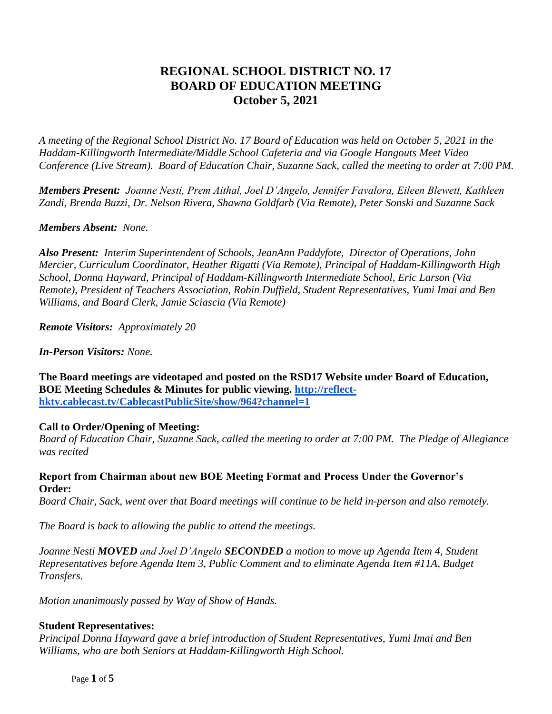# **REGIONAL SCHOOL DISTRICT NO. 17 BOARD OF EDUCATION MEETING October 5, 2021**

*A meeting of the Regional School District No. 17 Board of Education was held on October 5, 2021 in the Haddam-Killingworth Intermediate/Middle School Cafeteria and via Google Hangouts Meet Video Conference (Live Stream). Board of Education Chair, Suzanne Sack, called the meeting to order at 7:00 PM.*

*Members Present: Joanne Nesti, Prem Aithal, Joel D'Angelo, Jennifer Favalora, Eileen Blewett, Kathleen Zandi, Brenda Buzzi, Dr. Nelson Rivera, Shawna Goldfarb (Via Remote), Peter Sonski and Suzanne Sack*

### *Members Absent: None.*

*Also Present: Interim Superintendent of Schools, JeanAnn Paddyfote, Director of Operations, John Mercier, Curriculum Coordinator, Heather Rigatti (Via Remote), Principal of Haddam-Killingworth High School, Donna Hayward, Principal of Haddam-Killingworth Intermediate School, Eric Larson (Via Remote), President of Teachers Association, Robin Duffield, Student Representatives, Yumi Imai and Ben Williams, and Board Clerk, Jamie Sciascia (Via Remote)*

*Remote Visitors: Approximately 20*

*In-Person Visitors: None.*

**The Board meetings are videotaped and posted on the RSD17 Website under Board of Education, BOE Meeting Schedules & Minutes for public viewing. [http://reflect](http://reflect-hktv.cablecast.tv/CablecastPublicSite/show/964?channel=1)[hktv.cablecast.tv/CablecastPublicSite/show/964?channel=1](http://reflect-hktv.cablecast.tv/CablecastPublicSite/show/964?channel=1)** 

### **Call to Order/Opening of Meeting:**

*Board of Education Chair, Suzanne Sack, called the meeting to order at 7:00 PM. The Pledge of Allegiance was recited*

### **Report from Chairman about new BOE Meeting Format and Process Under the Governor's Order:**

*Board Chair, Sack, went over that Board meetings will continue to be held in-person and also remotely.* 

*The Board is back to allowing the public to attend the meetings.*

*Joanne Nesti MOVED and Joel D'Angelo SECONDED a motion to move up Agenda Item 4, Student Representatives before Agenda Item 3, Public Comment and to eliminate Agenda Item #11A, Budget Transfers.*

*Motion unanimously passed by Way of Show of Hands.*

### **Student Representatives:**

*Principal Donna Hayward gave a brief introduction of Student Representatives, Yumi Imai and Ben Williams, who are both Seniors at Haddam-Killingworth High School.*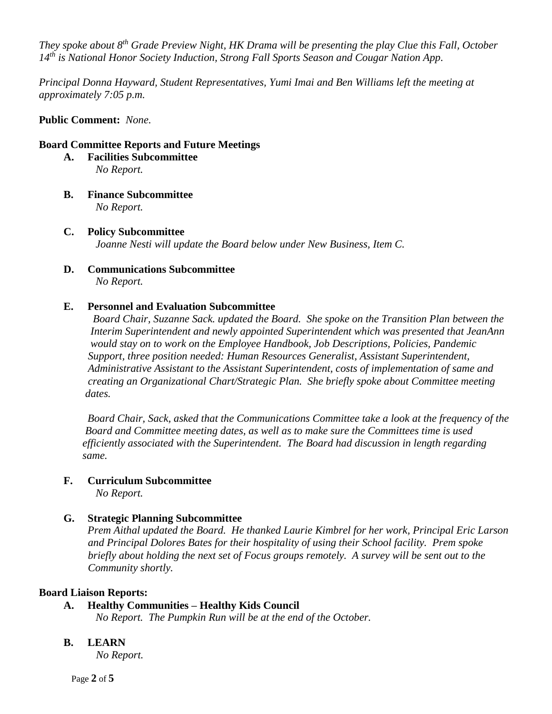*They spoke about 8th Grade Preview Night, HK Drama will be presenting the play Clue this Fall, October 14th is National Honor Society Induction, Strong Fall Sports Season and Cougar Nation App.*

*Principal Donna Hayward, Student Representatives, Yumi Imai and Ben Williams left the meeting at approximately 7:05 p.m.*

**Public Comment:** *None.*

#### **Board Committee Reports and Future Meetings**

- **A. Facilities Subcommittee**  *No Report.*
- **B. Finance Subcommittee** *No Report.*
- **C. Policy Subcommittee** *Joanne Nesti will update the Board below under New Business, Item C.*
- **D. Communications Subcommittee** *No Report.*

### **E. Personnel and Evaluation Subcommittee**

 *Board Chair, Suzanne Sack. updated the Board. She spoke on the Transition Plan between the Interim Superintendent and newly appointed Superintendent which was presented that JeanAnn would stay on to work on the Employee Handbook, Job Descriptions, Policies, Pandemic Support, three position needed: Human Resources Generalist, Assistant Superintendent, Administrative Assistant to the Assistant Superintendent, costs of implementation of same and creating an Organizational Chart/Strategic Plan. She briefly spoke about Committee meeting dates.*

*Board Chair, Sack, asked that the Communications Committee take a look at the frequency of the Board and Committee meeting dates, as well as to make sure the Committees time is used efficiently associated with the Superintendent. The Board had discussion in length regarding same.*

### **F. Curriculum Subcommittee**

*No Report.*

### **G. Strategic Planning Subcommittee**

*Prem Aithal updated the Board. He thanked Laurie Kimbrel for her work, Principal Eric Larson and Principal Dolores Bates for their hospitality of using their School facility. Prem spoke briefly about holding the next set of Focus groups remotely. A survey will be sent out to the Community shortly.* 

### **Board Liaison Reports:**

- **A. Healthy Communities – Healthy Kids Council**
	- *No Report. The Pumpkin Run will be at the end of the October.*

### **B. LEARN**

*No Report.*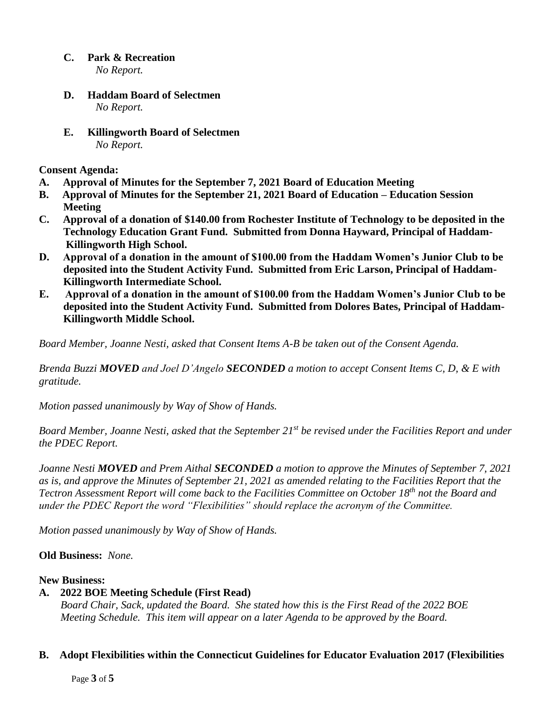- **C. Park & Recreation** *No Report.*
- **D. Haddam Board of Selectmen** *No Report.*
- **E. Killingworth Board of Selectmen** *No Report.*

**Consent Agenda:**

- **A. Approval of Minutes for the September 7, 2021 Board of Education Meeting**
- **B. Approval of Minutes for the September 21, 2021 Board of Education – Education Session Meeting**
- **C. Approval of a donation of \$140.00 from Rochester Institute of Technology to be deposited in the Technology Education Grant Fund. Submitted from Donna Hayward, Principal of Haddam- Killingworth High School.**
- **D. Approval of a donation in the amount of \$100.00 from the Haddam Women's Junior Club to be deposited into the Student Activity Fund. Submitted from Eric Larson, Principal of Haddam- Killingworth Intermediate School.**
- **E. Approval of a donation in the amount of \$100.00 from the Haddam Women's Junior Club to be deposited into the Student Activity Fund. Submitted from Dolores Bates, Principal of Haddam- Killingworth Middle School.**

*Board Member, Joanne Nesti, asked that Consent Items A-B be taken out of the Consent Agenda.*

*Brenda Buzzi MOVED and Joel D'Angelo SECONDED a motion to accept Consent Items C, D, & E with gratitude.*

*Motion passed unanimously by Way of Show of Hands.*

*Board Member, Joanne Nesti, asked that the September 21st be revised under the Facilities Report and under the PDEC Report.*

*Joanne Nesti MOVED and Prem Aithal SECONDED a motion to approve the Minutes of September 7, 2021 as is, and approve the Minutes of September 21, 2021 as amended relating to the Facilities Report that the Tectron Assessment Report will come back to the Facilities Committee on October 18th not the Board and under the PDEC Report the word "Flexibilities" should replace the acronym of the Committee.*

*Motion passed unanimously by Way of Show of Hands.*

# **Old Business:** *None.*

### **New Business:**

# **A. 2022 BOE Meeting Schedule (First Read)**

*Board Chair, Sack, updated the Board. She stated how this is the First Read of the 2022 BOE Meeting Schedule. This item will appear on a later Agenda to be approved by the Board.*

### **B. Adopt Flexibilities within the Connecticut Guidelines for Educator Evaluation 2017 (Flexibilities**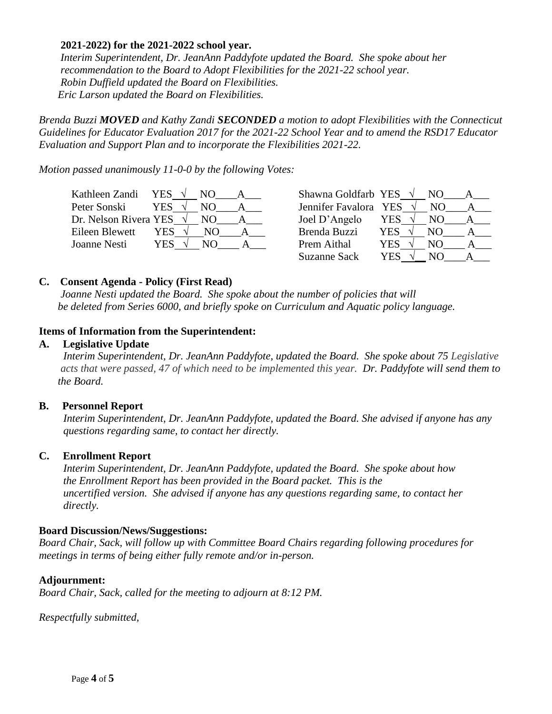### **2021-2022) for the 2021-2022 school year.**

*Interim Superintendent, Dr. JeanAnn Paddyfote updated the Board. She spoke about her recommendation to the Board to Adopt Flexibilities for the 2021-22 school year. Robin Duffield updated the Board on Flexibilities. Eric Larson updated the Board on Flexibilities.*

*Brenda Buzzi MOVED and Kathy Zandi SECONDED a motion to adopt Flexibilities with the Connecticut Guidelines for Educator Evaluation 2017 for the 2021-22 School Year and to amend the RSD17 Educator Evaluation and Support Plan and to incorporate the Flexibilities 2021-22.*

*Motion passed unanimously 11-0-0 by the following Votes:*

| Kathleen Zandi                  | <b>YES</b>        | Shawna Goldfarb YES $\sqrt{}$ |             |
|---------------------------------|-------------------|-------------------------------|-------------|
| Peter Sonski                    | <b>YES</b><br>NO. | Jennifer Favalora YES         | NΟ          |
| Dr. Nelson Rivera YES $\sqrt{}$ | NO.               | Joel D'Angelo                 | YES<br>NO.  |
| Eileen Blewett                  | YES.<br>NO.       | Brenda Buzzi                  | YES.<br>NO. |
| Joanne Nesti                    | YES<br>NO.        | Prem Aithal                   | YES<br>NO.  |
|                                 |                   | <b>Suzanne Sack</b>           | YES<br>N()  |

### **C. Consent Agenda - Policy (First Read)**

 *Joanne Nesti updated the Board. She spoke about the number of policies that will be deleted from Series 6000, and briefly spoke on Curriculum and Aquatic policy language.*

### **Items of Information from the Superintendent:**

### **A. Legislative Update**

 *Interim Superintendent, Dr. JeanAnn Paddyfote, updated the Board. She spoke about 75 Legislative acts that were passed, 47 of which need to be implemented this year. Dr. Paddyfote will send them to the Board.*

### **B. Personnel Report**

*Interim Superintendent, Dr. JeanAnn Paddyfote, updated the Board. She advised if anyone has any questions regarding same, to contact her directly.*

### **C. Enrollment Report**

*Interim Superintendent, Dr. JeanAnn Paddyfote, updated the Board. She spoke about how the Enrollment Report has been provided in the Board packet. This is the uncertified version. She advised if anyone has any questions regarding same, to contact her directly.*

### **Board Discussion/News/Suggestions:**

*Board Chair, Sack, will follow up with Committee Board Chairs regarding following procedures for meetings in terms of being either fully remote and/or in-person.* 

### **Adjournment:**

*Board Chair, Sack, called for the meeting to adjourn at 8:12 PM.*

*Respectfully submitted,*